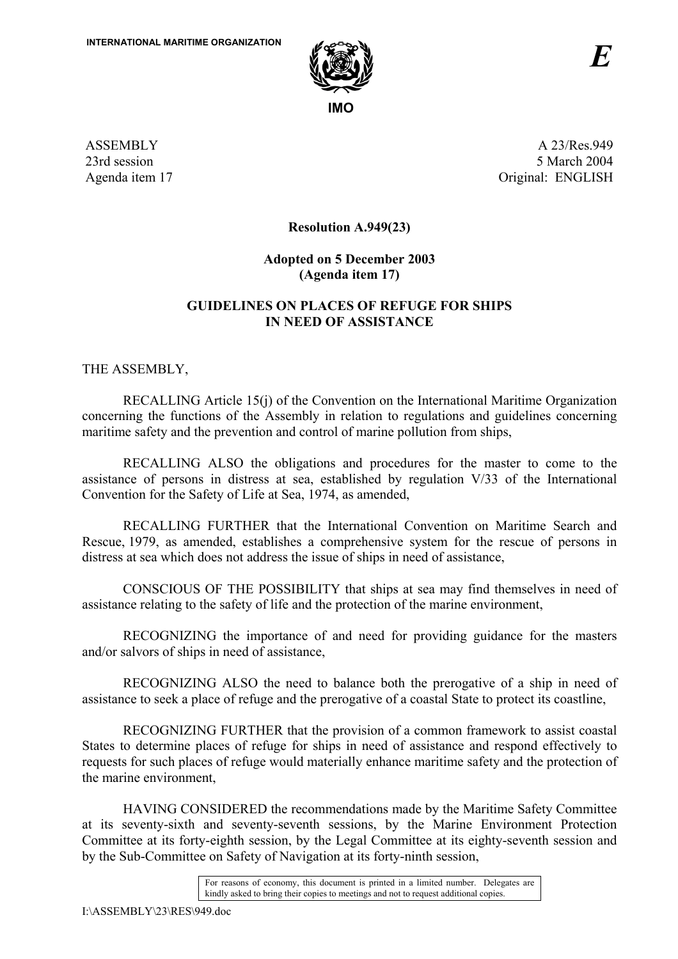

ASSEMBLY 23rd session Agenda item 17

A 23/Res.949 5 March 2004 Original: ENGLISH

## **Resolution A.949(23)**

**Adopted on 5 December 2003 (Agenda item 17)** 

### **GUIDELINES ON PLACES OF REFUGE FOR SHIPS IN NEED OF ASSISTANCE**

THE ASSEMBLY,

RECALLING Article 15(j) of the Convention on the International Maritime Organization concerning the functions of the Assembly in relation to regulations and guidelines concerning maritime safety and the prevention and control of marine pollution from ships,

RECALLING ALSO the obligations and procedures for the master to come to the assistance of persons in distress at sea, established by regulation V/33 of the International Convention for the Safety of Life at Sea, 1974, as amended,

RECALLING FURTHER that the International Convention on Maritime Search and Rescue, 1979, as amended, establishes a comprehensive system for the rescue of persons in distress at sea which does not address the issue of ships in need of assistance,

 CONSCIOUS OF THE POSSIBILITY that ships at sea may find themselves in need of assistance relating to the safety of life and the protection of the marine environment,

RECOGNIZING the importance of and need for providing guidance for the masters and/or salvors of ships in need of assistance,

RECOGNIZING ALSO the need to balance both the prerogative of a ship in need of assistance to seek a place of refuge and the prerogative of a coastal State to protect its coastline,

RECOGNIZING FURTHER that the provision of a common framework to assist coastal States to determine places of refuge for ships in need of assistance and respond effectively to requests for such places of refuge would materially enhance maritime safety and the protection of the marine environment,

 HAVING CONSIDERED the recommendations made by the Maritime Safety Committee at its seventy-sixth and seventy-seventh sessions, by the Marine Environment Protection Committee at its forty-eighth session, by the Legal Committee at its eighty-seventh session and by the Sub-Committee on Safety of Navigation at its forty-ninth session,

For reasons of economy, this document is printed in a limited number. Delegates are kindly asked to bring their copies to meetings and not to request additional copies.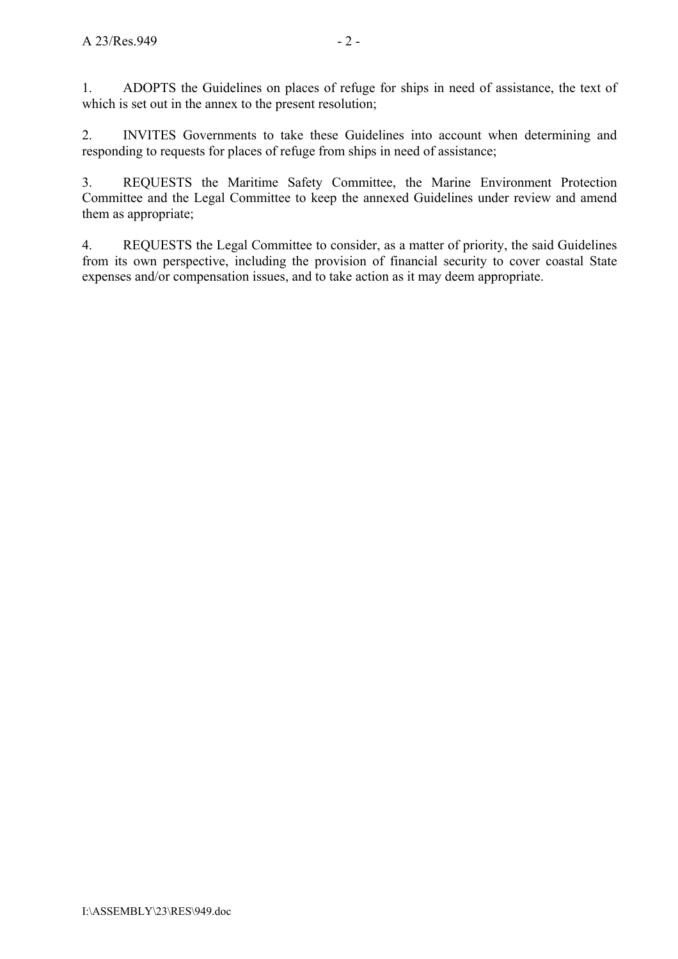1. ADOPTS the Guidelines on places of refuge for ships in need of assistance, the text of which is set out in the annex to the present resolution;

2. INVITES Governments to take these Guidelines into account when determining and responding to requests for places of refuge from ships in need of assistance;

3. REQUESTS the Maritime Safety Committee, the Marine Environment Protection Committee and the Legal Committee to keep the annexed Guidelines under review and amend them as appropriate;

4. REQUESTS the Legal Committee to consider, as a matter of priority, the said Guidelines from its own perspective, including the provision of financial security to cover coastal State expenses and/or compensation issues, and to take action as it may deem appropriate.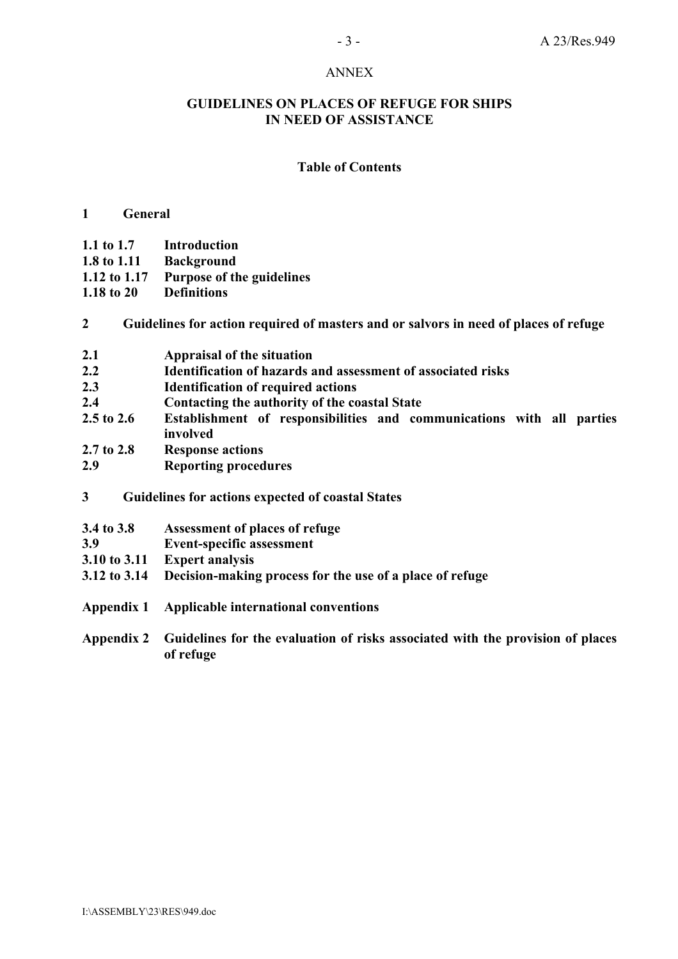#### ANNEX

#### **GUIDELINES ON PLACES OF REFUGE FOR SHIPS IN NEED OF ASSISTANCE**

#### **Table of Contents**

#### **1 General**

- **1.8 to 1.11 Background**
- **1.12 to 1.17 Purpose of the guidelines**
- **1.18 to 20 Definitions**

#### **2 Guidelines for action required of masters and or salvors in need of places of refuge**

| 2.1                   | Appraisal of the situation                                                        |
|-----------------------|-----------------------------------------------------------------------------------|
| 2.2                   | Identification of hazards and assessment of associated risks                      |
| 2.3                   | <b>Identification of required actions</b>                                         |
| 2.4                   | Contacting the authority of the coastal State                                     |
| $2.5 \text{ to } 2.6$ | Establishment of responsibilities and communications with all parties<br>involved |
| $2.7 \text{ to } 2.8$ | <b>Response actions</b>                                                           |
| 2.9                   | <b>Reporting procedures</b>                                                       |
| 3                     | Guidelines for actions expected of coastal States                                 |

- **3.4 to 3.8 Assessment of places of refuge**
- **3.9 Event-specific assessment**
- **3.10 to 3.11 Expert analysis**
- **3.12 to 3.14 Decision-making process for the use of a place of refuge**
- **Appendix 1 Applicable international conventions**
- **Appendix 2 Guidelines for the evaluation of risks associated with the provision of places of refuge**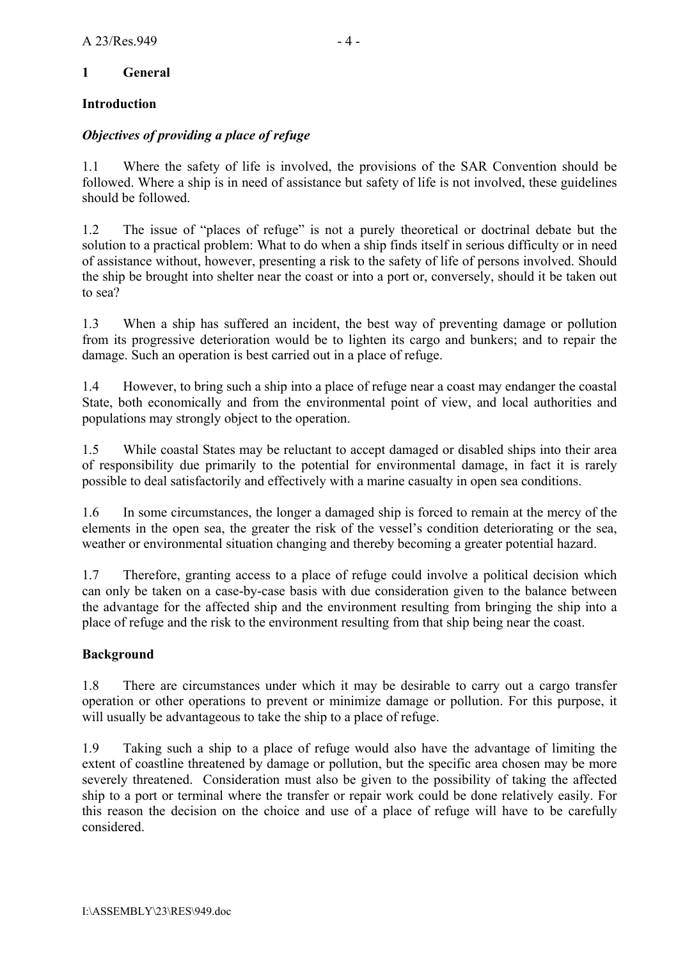## **1 General**

#### **Introduction**

### *Objectives of providing a place of refuge*

1.1 Where the safety of life is involved, the provisions of the SAR Convention should be followed. Where a ship is in need of assistance but safety of life is not involved, these guidelines should be followed.

1.2 The issue of "places of refuge" is not a purely theoretical or doctrinal debate but the solution to a practical problem: What to do when a ship finds itself in serious difficulty or in need of assistance without, however, presenting a risk to the safety of life of persons involved. Should the ship be brought into shelter near the coast or into a port or, conversely, should it be taken out to sea?

1.3 When a ship has suffered an incident, the best way of preventing damage or pollution from its progressive deterioration would be to lighten its cargo and bunkers; and to repair the damage. Such an operation is best carried out in a place of refuge.

1.4 However, to bring such a ship into a place of refuge near a coast may endanger the coastal State, both economically and from the environmental point of view, and local authorities and populations may strongly object to the operation.

1.5 While coastal States may be reluctant to accept damaged or disabled ships into their area of responsibility due primarily to the potential for environmental damage, in fact it is rarely possible to deal satisfactorily and effectively with a marine casualty in open sea conditions.

1.6 In some circumstances, the longer a damaged ship is forced to remain at the mercy of the elements in the open sea, the greater the risk of the vessel's condition deteriorating or the sea, weather or environmental situation changing and thereby becoming a greater potential hazard.

1.7 Therefore, granting access to a place of refuge could involve a political decision which can only be taken on a case-by-case basis with due consideration given to the balance between the advantage for the affected ship and the environment resulting from bringing the ship into a place of refuge and the risk to the environment resulting from that ship being near the coast.

#### **Background**

1.8 There are circumstances under which it may be desirable to carry out a cargo transfer operation or other operations to prevent or minimize damage or pollution. For this purpose, it will usually be advantageous to take the ship to a place of refuge.

1.9 Taking such a ship to a place of refuge would also have the advantage of limiting the extent of coastline threatened by damage or pollution, but the specific area chosen may be more severely threatened. Consideration must also be given to the possibility of taking the affected ship to a port or terminal where the transfer or repair work could be done relatively easily. For this reason the decision on the choice and use of a place of refuge will have to be carefully considered.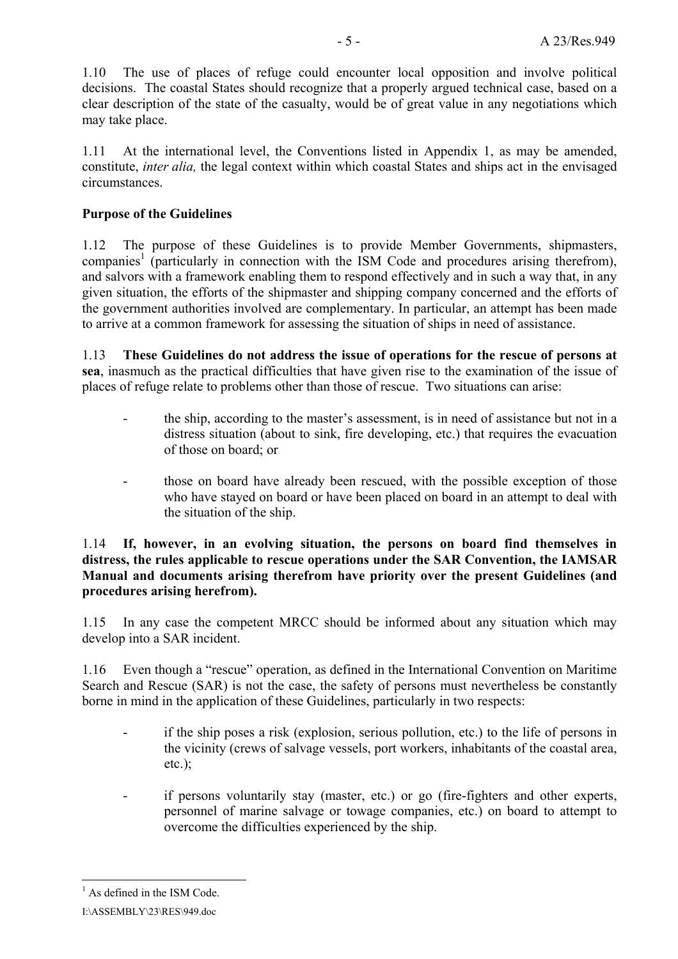1.10 The use of places of refuge could encounter local opposition and involve political decisions. The coastal States should recognize that a properly argued technical case, based on a clear description of the state of the casualty, would be of great value in any negotiations which may take place.

1.11 At the international level, the Conventions listed in Appendix 1, as may be amended, constitute, *inter alia,* the legal context within which coastal States and ships act in the envisaged circumstances.

### **Purpose of the Guidelines**

1.12 The purpose of these Guidelines is to provide Member Governments, shipmasters, companies<sup>1</sup> (particularly in connection with the ISM Code and procedures arising therefrom), and salvors with a framework enabling them to respond effectively and in such a way that, in any given situation, the efforts of the shipmaster and shipping company concerned and the efforts of the government authorities involved are complementary. In particular, an attempt has been made to arrive at a common framework for assessing the situation of ships in need of assistance.

1.13 **These Guidelines do not address the issue of operations for the rescue of persons at sea**, inasmuch as the practical difficulties that have given rise to the examination of the issue of places of refuge relate to problems other than those of rescue. Two situations can arise:

- the ship, according to the master's assessment, is in need of assistance but not in a distress situation (about to sink, fire developing, etc.) that requires the evacuation of those on board; or
- those on board have already been rescued, with the possible exception of those who have stayed on board or have been placed on board in an attempt to deal with the situation of the ship.

### 1.14 **If, however, in an evolving situation, the persons on board find themselves in distress, the rules applicable to rescue operations under the SAR Convention, the IAMSAR Manual and documents arising therefrom have priority over the present Guidelines (and procedures arising herefrom).**

1.15 In any case the competent MRCC should be informed about any situation which may develop into a SAR incident.

1.16 Even though a "rescue" operation, as defined in the International Convention on Maritime Search and Rescue (SAR) is not the case, the safety of persons must nevertheless be constantly borne in mind in the application of these Guidelines, particularly in two respects:

- if the ship poses a risk (explosion, serious pollution, etc.) to the life of persons in the vicinity (crews of salvage vessels, port workers, inhabitants of the coastal area, etc.);
- if persons voluntarily stay (master, etc.) or go (fire-fighters and other experts, personnel of marine salvage or towage companies, etc.) on board to attempt to overcome the difficulties experienced by the ship.

 $\overline{a}$ 

<sup>&</sup>lt;sup>1</sup> As defined in the ISM Code.

I:\ASSEMBLY\23\RES\949.doc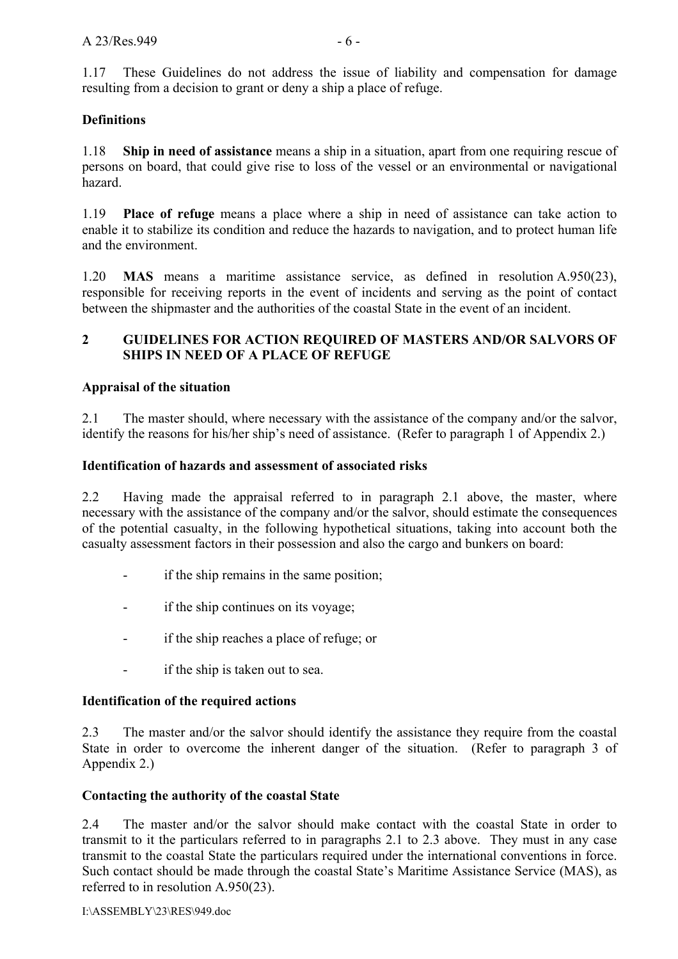1.17 These Guidelines do not address the issue of liability and compensation for damage resulting from a decision to grant or deny a ship a place of refuge.

## **Definitions**

1.18 **Ship in need of assistance** means a ship in a situation, apart from one requiring rescue of persons on board, that could give rise to loss of the vessel or an environmental or navigational hazard.

1.19 **Place of refuge** means a place where a ship in need of assistance can take action to enable it to stabilize its condition and reduce the hazards to navigation, and to protect human life and the environment.

1.20 **MAS** means a maritime assistance service, as defined in resolution A.950(23), responsible for receiving reports in the event of incidents and serving as the point of contact between the shipmaster and the authorities of the coastal State in the event of an incident.

## **2 GUIDELINES FOR ACTION REQUIRED OF MASTERS AND/OR SALVORS OF SHIPS IN NEED OF A PLACE OF REFUGE**

## **Appraisal of the situation**

2.1 The master should, where necessary with the assistance of the company and/or the salvor, identify the reasons for his/her ship's need of assistance. (Refer to paragraph 1 of Appendix 2.)

## **Identification of hazards and assessment of associated risks**

2.2 Having made the appraisal referred to in paragraph 2.1 above, the master, where necessary with the assistance of the company and/or the salvor, should estimate the consequences of the potential casualty, in the following hypothetical situations, taking into account both the casualty assessment factors in their possession and also the cargo and bunkers on board:

- if the ship remains in the same position;
- if the ship continues on its voyage;
- if the ship reaches a place of refuge; or
- if the ship is taken out to sea.

## **Identification of the required actions**

2.3 The master and/or the salvor should identify the assistance they require from the coastal State in order to overcome the inherent danger of the situation. (Refer to paragraph 3 of Appendix 2.)

## **Contacting the authority of the coastal State**

2.4 The master and/or the salvor should make contact with the coastal State in order to transmit to it the particulars referred to in paragraphs 2.1 to 2.3 above. They must in any case transmit to the coastal State the particulars required under the international conventions in force. Such contact should be made through the coastal State's Maritime Assistance Service (MAS), as referred to in resolution A.950(23).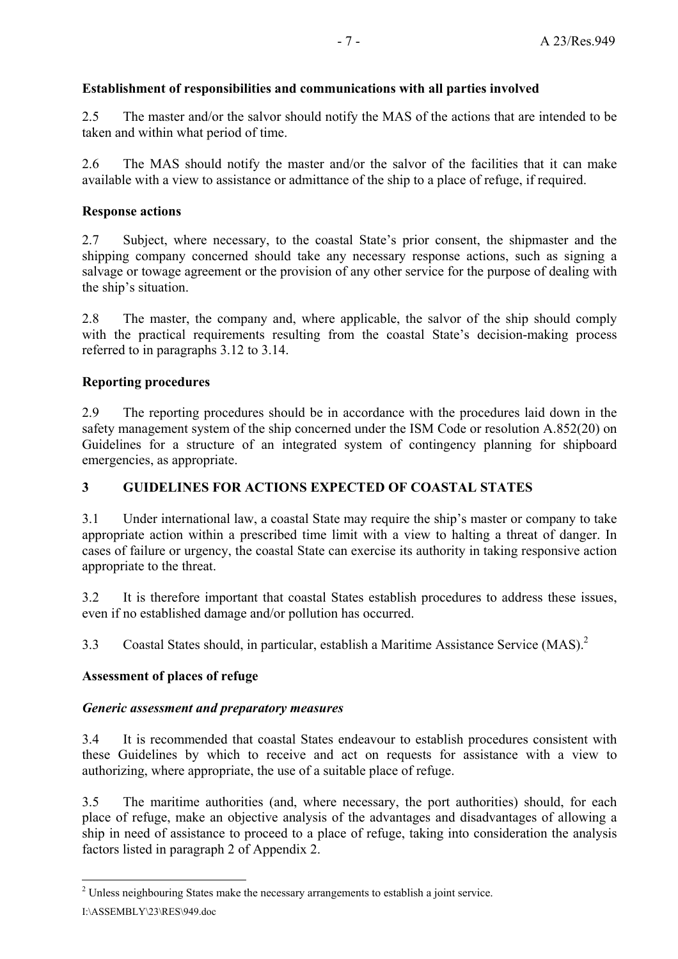## **Establishment of responsibilities and communications with all parties involved**

2.5 The master and/or the salvor should notify the MAS of the actions that are intended to be taken and within what period of time.

2.6 The MAS should notify the master and/or the salvor of the facilities that it can make available with a view to assistance or admittance of the ship to a place of refuge, if required.

## **Response actions**

2.7 Subject, where necessary, to the coastal State's prior consent, the shipmaster and the shipping company concerned should take any necessary response actions, such as signing a salvage or towage agreement or the provision of any other service for the purpose of dealing with the ship's situation.

2.8 The master, the company and, where applicable, the salvor of the ship should comply with the practical requirements resulting from the coastal State's decision-making process referred to in paragraphs 3.12 to 3.14.

## **Reporting procedures**

2.9 The reporting procedures should be in accordance with the procedures laid down in the safety management system of the ship concerned under the ISM Code or resolution A.852(20) on Guidelines for a structure of an integrated system of contingency planning for shipboard emergencies, as appropriate.

## **3 GUIDELINES FOR ACTIONS EXPECTED OF COASTAL STATES**

3.1 Under international law, a coastal State may require the ship's master or company to take appropriate action within a prescribed time limit with a view to halting a threat of danger. In cases of failure or urgency, the coastal State can exercise its authority in taking responsive action appropriate to the threat.

3.2 It is therefore important that coastal States establish procedures to address these issues, even if no established damage and/or pollution has occurred.

3.3 Coastal States should, in particular, establish a Maritime Assistance Service (MAS).<sup>2</sup>

## **Assessment of places of refuge**

## *Generic assessment and preparatory measures*

3.4 It is recommended that coastal States endeavour to establish procedures consistent with these Guidelines by which to receive and act on requests for assistance with a view to authorizing, where appropriate, the use of a suitable place of refuge.

3.5 The maritime authorities (and, where necessary, the port authorities) should, for each place of refuge, make an objective analysis of the advantages and disadvantages of allowing a ship in need of assistance to proceed to a place of refuge, taking into consideration the analysis factors listed in paragraph 2 of Appendix 2.

 $\overline{a}$ 

 $2$  Unless neighbouring States make the necessary arrangements to establish a joint service.

I:\ASSEMBLY\23\RES\949.doc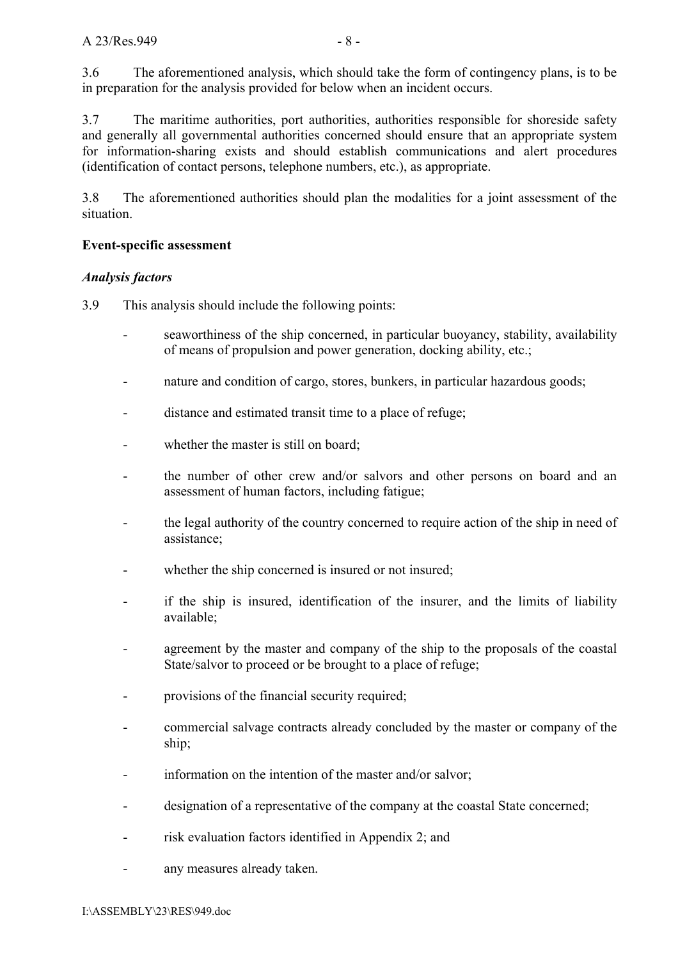3.6 The aforementioned analysis, which should take the form of contingency plans, is to be in preparation for the analysis provided for below when an incident occurs.

3.7 The maritime authorities, port authorities, authorities responsible for shoreside safety and generally all governmental authorities concerned should ensure that an appropriate system for information-sharing exists and should establish communications and alert procedures (identification of contact persons, telephone numbers, etc.), as appropriate.

3.8 The aforementioned authorities should plan the modalities for a joint assessment of the situation.

## **Event-specific assessment**

## *Analysis factors*

3.9 This analysis should include the following points:

- seaworthiness of the ship concerned, in particular buoyancy, stability, availability of means of propulsion and power generation, docking ability, etc.;
- nature and condition of cargo, stores, bunkers, in particular hazardous goods;
- distance and estimated transit time to a place of refuge;
- whether the master is still on board;
- the number of other crew and/or salvors and other persons on board and an assessment of human factors, including fatigue;
- the legal authority of the country concerned to require action of the ship in need of assistance;
- whether the ship concerned is insured or not insured;
- if the ship is insured, identification of the insurer, and the limits of liability available;
- agreement by the master and company of the ship to the proposals of the coastal State/salvor to proceed or be brought to a place of refuge;
- provisions of the financial security required;
- commercial salvage contracts already concluded by the master or company of the ship;
- information on the intention of the master and/or salvor;
- designation of a representative of the company at the coastal State concerned;
- risk evaluation factors identified in Appendix 2; and
- any measures already taken.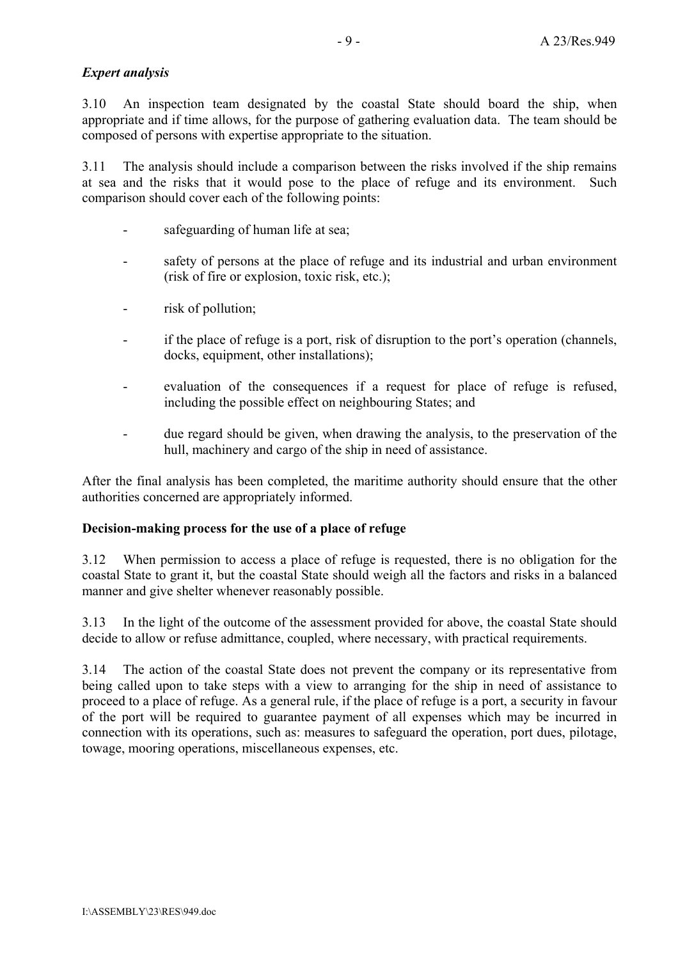## *Expert analysis*

3.10 An inspection team designated by the coastal State should board the ship, when appropriate and if time allows, for the purpose of gathering evaluation data. The team should be composed of persons with expertise appropriate to the situation.

3.11 The analysis should include a comparison between the risks involved if the ship remains at sea and the risks that it would pose to the place of refuge and its environment. Such comparison should cover each of the following points:

- safeguarding of human life at sea;
- safety of persons at the place of refuge and its industrial and urban environment (risk of fire or explosion, toxic risk, etc.);
- risk of pollution;
- if the place of refuge is a port, risk of disruption to the port's operation (channels, docks, equipment, other installations);
- evaluation of the consequences if a request for place of refuge is refused, including the possible effect on neighbouring States; and
- due regard should be given, when drawing the analysis, to the preservation of the hull, machinery and cargo of the ship in need of assistance.

After the final analysis has been completed, the maritime authority should ensure that the other authorities concerned are appropriately informed.

#### **Decision-making process for the use of a place of refuge**

3.12 When permission to access a place of refuge is requested, there is no obligation for the coastal State to grant it, but the coastal State should weigh all the factors and risks in a balanced manner and give shelter whenever reasonably possible.

3.13 In the light of the outcome of the assessment provided for above, the coastal State should decide to allow or refuse admittance, coupled, where necessary, with practical requirements.

3.14 The action of the coastal State does not prevent the company or its representative from being called upon to take steps with a view to arranging for the ship in need of assistance to proceed to a place of refuge. As a general rule, if the place of refuge is a port, a security in favour of the port will be required to guarantee payment of all expenses which may be incurred in connection with its operations, such as: measures to safeguard the operation, port dues, pilotage, towage, mooring operations, miscellaneous expenses, etc.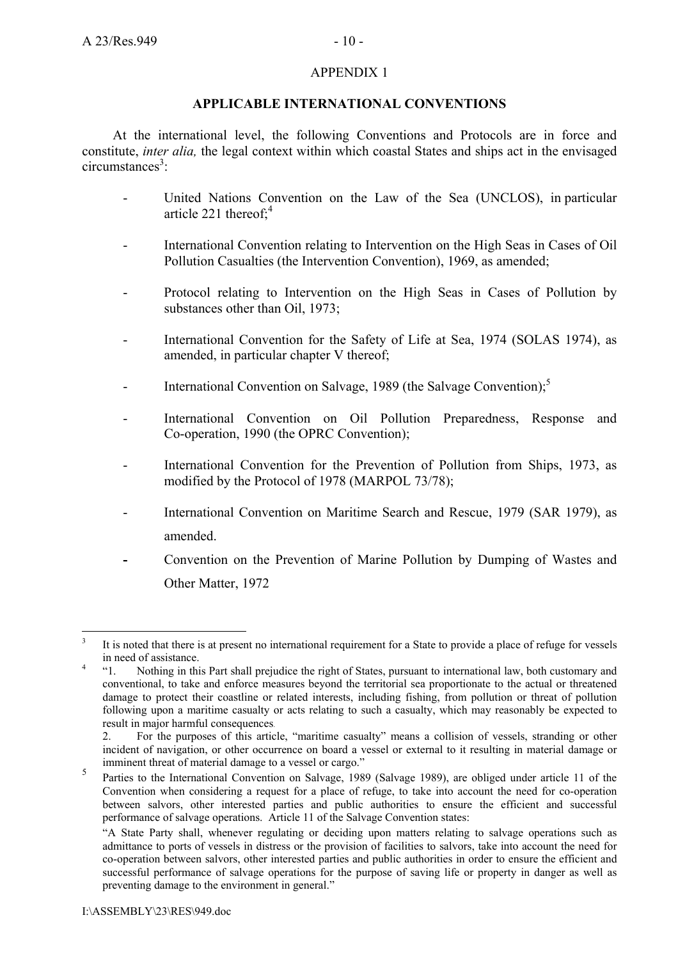#### APPENDIX 1

### **APPLICABLE INTERNATIONAL CONVENTIONS**

At the international level, the following Conventions and Protocols are in force and constitute, *inter alia,* the legal context within which coastal States and ships act in the envisaged  $circumstances<sup>3</sup>$ :

- United Nations Convention on the Law of the Sea (UNCLOS), in particular article 221 thereof: $4$
- International Convention relating to Intervention on the High Seas in Cases of Oil Pollution Casualties (the Intervention Convention), 1969, as amended;
- Protocol relating to Intervention on the High Seas in Cases of Pollution by substances other than Oil, 1973;
- International Convention for the Safety of Life at Sea, 1974 (SOLAS 1974), as amended, in particular chapter V thereof;
- International Convention on Salvage, 1989 (the Salvage Convention);<sup>5</sup>
- International Convention on Oil Pollution Preparedness, Response and Co-operation, 1990 (the OPRC Convention);
- International Convention for the Prevention of Pollution from Ships, 1973, as modified by the Protocol of 1978 (MARPOL 73/78);
- International Convention on Maritime Search and Rescue, 1979 (SAR 1979), as amended.
- Convention on the Prevention of Marine Pollution by Dumping of Wastes and Other Matter, 1972

<sup>&</sup>lt;sup>2</sup><br>3 It is noted that there is at present no international requirement for a State to provide a place of refuge for vessels in need of assistance.

Nothing in this Part shall prejudice the right of States, pursuant to international law, both customary and conventional, to take and enforce measures beyond the territorial sea proportionate to the actual or threatened damage to protect their coastline or related interests, including fishing, from pollution or threat of pollution following upon a maritime casualty or acts relating to such a casualty, which may reasonably be expected to result in major harmful consequences.

<sup>2.</sup> For the purposes of this article, "maritime casualty" means a collision of vessels, stranding or other incident of navigation, or other occurrence on board a vessel or external to it resulting in material damage or imminent threat of material damage to a vessel or cargo."

<sup>&</sup>lt;sup>5</sup> Parties to the International Convention on Salvage, 1989 (Salvage 1989), are obliged under article 11 of the Convention when considering a request for a place of refuge, to take into account the need for co-operation between salvors, other interested parties and public authorities to ensure the efficient and successful performance of salvage operations. Article 11 of the Salvage Convention states:

ìA State Party shall, whenever regulating or deciding upon matters relating to salvage operations such as admittance to ports of vessels in distress or the provision of facilities to salvors, take into account the need for co-operation between salvors, other interested parties and public authorities in order to ensure the efficient and successful performance of salvage operations for the purpose of saving life or property in danger as well as preventing damage to the environment in general."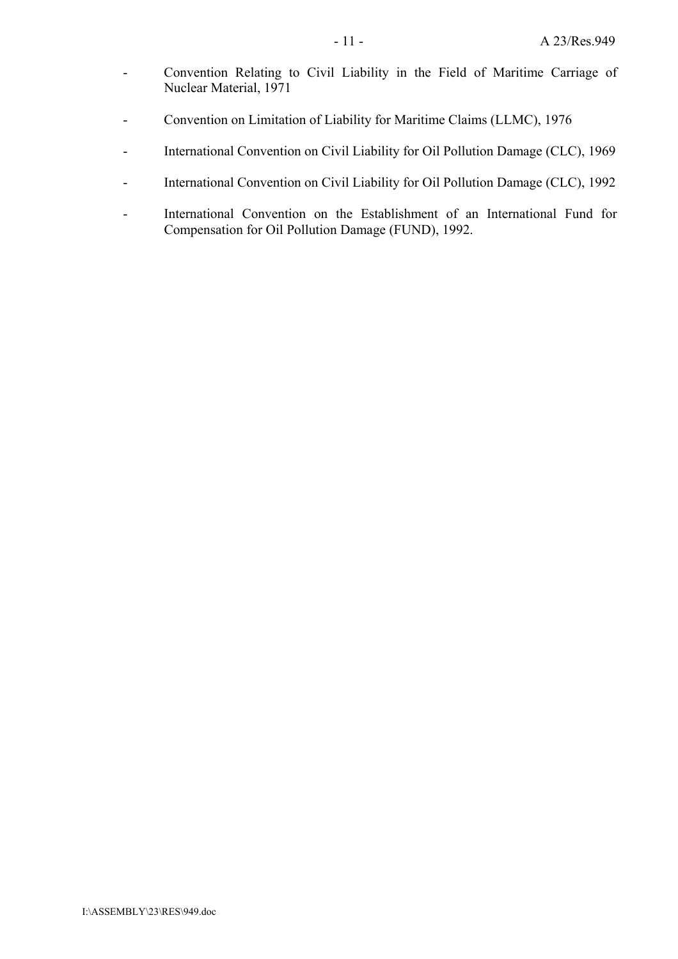- Convention Relating to Civil Liability in the Field of Maritime Carriage of Nuclear Material, 1971
- Convention on Limitation of Liability for Maritime Claims (LLMC), 1976
- International Convention on Civil Liability for Oil Pollution Damage (CLC), 1969
- International Convention on Civil Liability for Oil Pollution Damage (CLC), 1992
- International Convention on the Establishment of an International Fund for Compensation for Oil Pollution Damage (FUND), 1992.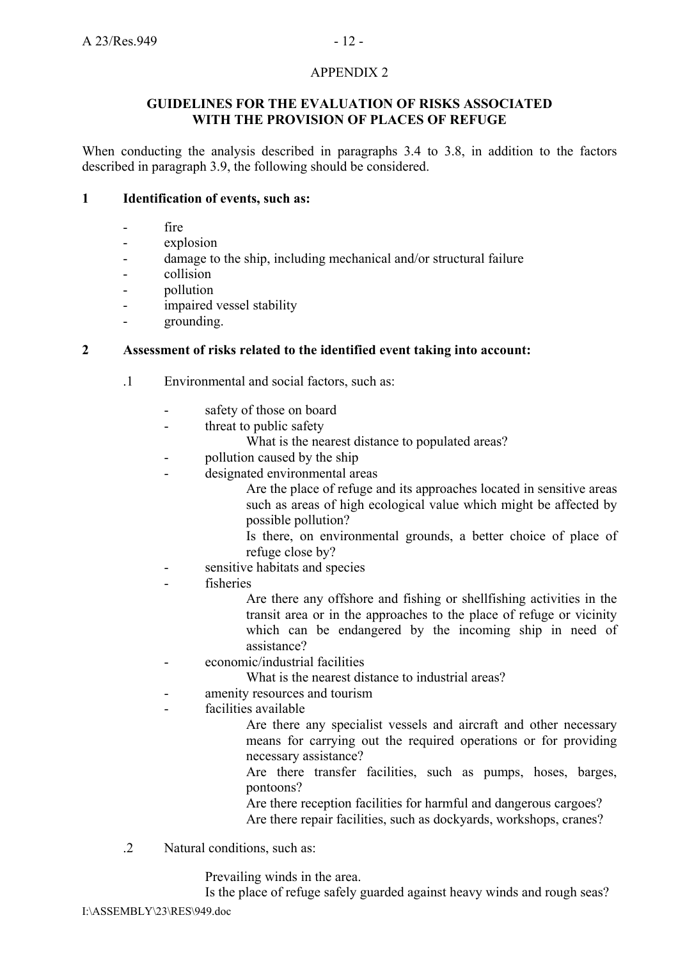## APPENDIX 2

#### **GUIDELINES FOR THE EVALUATION OF RISKS ASSOCIATED WITH THE PROVISION OF PLACES OF REFUGE**

When conducting the analysis described in paragraphs 3.4 to 3.8, in addition to the factors described in paragraph 3.9, the following should be considered.

#### **1 Identification of events, such as:**

- fire
- explosion
- damage to the ship, including mechanical and/or structural failure
- collision
- pollution
- impaired vessel stability
- grounding.

#### **2 Assessment of risks related to the identified event taking into account:**

- .1 Environmental and social factors, such as:
	- safety of those on board
	- threat to public safety
		- What is the nearest distance to populated areas?
	- pollution caused by the ship
	- designated environmental areas

 Are the place of refuge and its approaches located in sensitive areas such as areas of high ecological value which might be affected by possible pollution?

 Is there, on environmental grounds, a better choice of place of refuge close by?

- sensitive habitats and species
- fisheries

 Are there any offshore and fishing or shellfishing activities in the transit area or in the approaches to the place of refuge or vicinity which can be endangered by the incoming ship in need of assistance?

economic/industrial facilities

What is the nearest distance to industrial areas?

- amenity resources and tourism
- facilities available

 Are there any specialist vessels and aircraft and other necessary means for carrying out the required operations or for providing necessary assistance?

 Are there transfer facilities, such as pumps, hoses, barges, pontoons?

 Are there reception facilities for harmful and dangerous cargoes? Are there repair facilities, such as dockyards, workshops, cranes?

.2 Natural conditions, such as:

Prevailing winds in the area.

Is the place of refuge safely guarded against heavy winds and rough seas?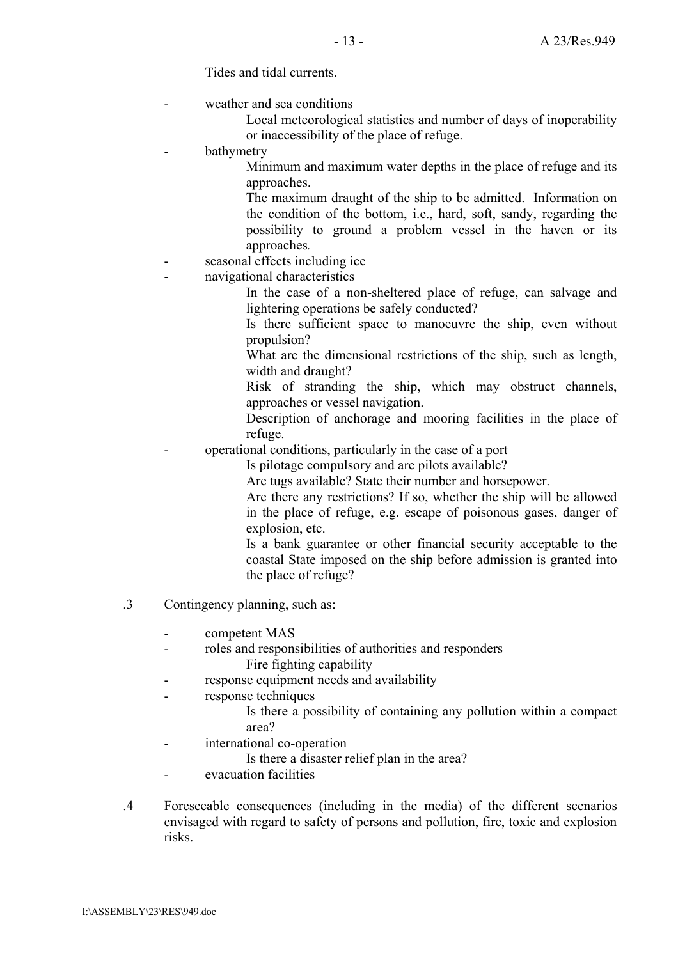Tides and tidal currents.

weather and sea conditions

 Local meteorological statistics and number of days of inoperability or inaccessibility of the place of refuge.

bathymetry

 Minimum and maximum water depths in the place of refuge and its approaches.

 The maximum draught of the ship to be admitted. Information on the condition of the bottom, i.e., hard, soft, sandy, regarding the possibility to ground a problem vessel in the haven or its approaches*.* 

- seasonal effects including ice
- navigational characteristics

 In the case of a non-sheltered place of refuge, can salvage and lightering operations be safely conducted?

 Is there sufficient space to manoeuvre the ship, even without propulsion?

What are the dimensional restrictions of the ship, such as length, width and draught?

 Risk of stranding the ship, which may obstruct channels, approaches or vessel navigation.

 Description of anchorage and mooring facilities in the place of refuge.

- operational conditions, particularly in the case of a port

Is pilotage compulsory and are pilots available?

Are tugs available? State their number and horsepower.

 Are there any restrictions? If so, whether the ship will be allowed in the place of refuge, e.g. escape of poisonous gases, danger of explosion, etc.

 Is a bank guarantee or other financial security acceptable to the coastal State imposed on the ship before admission is granted into the place of refuge?

- .3 Contingency planning, such as:
	- competent MAS
	- roles and responsibilities of authorities and responders Fire fighting capability
	- response equipment needs and availability
		- response techniques
			- Is there a possibility of containing any pollution within a compact area?
	- international co-operation
		- Is there a disaster relief plan in the area?
	- evacuation facilities
- .4 Foreseeable consequences (including in the media) of the different scenarios envisaged with regard to safety of persons and pollution, fire, toxic and explosion risks.